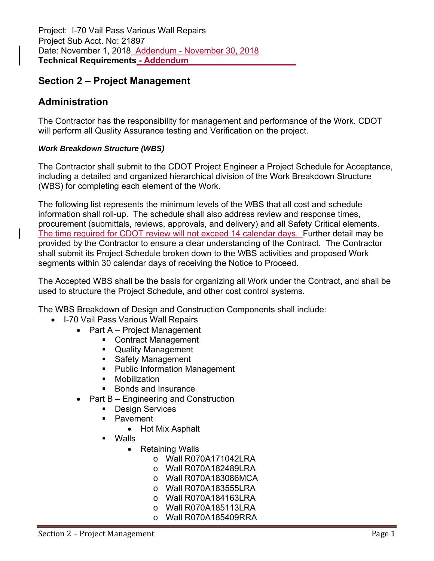### **Administration**

The Contractor has the responsibility for management and performance of the Work. CDOT will perform all Quality Assurance testing and Verification on the project.

### *Work Breakdown Structure (WBS)*

The Contractor shall submit to the CDOT Project Engineer a Project Schedule for Acceptance, including a detailed and organized hierarchical division of the Work Breakdown Structure (WBS) for completing each element of the Work.

The following list represents the minimum levels of the WBS that all cost and schedule information shall roll-up. The schedule shall also address review and response times, procurement (submittals, reviews, approvals, and delivery) and all Safety Critical elements. The time required for CDOT review will not exceed 14 calendar days. Further detail may be provided by the Contractor to ensure a clear understanding of the Contract. The Contractor shall submit its Project Schedule broken down to the WBS activities and proposed Work segments within 30 calendar days of receiving the Notice to Proceed.

The Accepted WBS shall be the basis for organizing all Work under the Contract, and shall be used to structure the Project Schedule, and other cost control systems.

The WBS Breakdown of Design and Construction Components shall include:

- I-70 Vail Pass Various Wall Repairs
	- Part A Project Management
		- Contract Management
		- Quality Management
		- **Safety Management**
		- **Public Information Management**
		- **•** Mobilization
		- Bonds and Insurance
	- Part  $B$  Engineering and Construction
		- **Design Services**
		- **Pavement** 
			- Hot Mix Asphalt
		- Walls
			- Retaining Walls
				- o Wall R070A171042LRA
				- o Wall R070A182489LRA
				- o Wall R070A183086MCA
				- o Wall R070A183555LRA
				- o Wall R070A184163LRA
				- o Wall R070A185113LRA
				- o Wall R070A185409RRA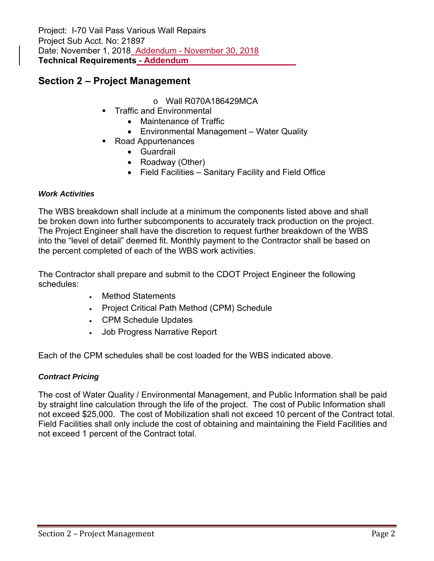Project: I-70 Vail Pass Various Wall Repairs Project Sub Acct. No: 21897 Date: November 1, 2018 Addendum - November 30, 2018 **Technical Requirements - Addendum** 

### **Section 2 – Project Management**

- o Wall R070A186429MCA
- Traffic and Environmental
	- Maintenance of Traffic
	- Environmental Management Water Quality
- Road Appurtenances
	- Guardrail
	- Roadway (Other)
	- Field Facilities Sanitary Facility and Field Office

#### *Work Activities*

The WBS breakdown shall include at a minimum the components listed above and shall be broken down into further subcomponents to accurately track production on the project. The Project Engineer shall have the discretion to request further breakdown of the WBS into the "level of detail" deemed fit. Monthly payment to the Contractor shall be based on the percent completed of each of the WBS work activities.

The Contractor shall prepare and submit to the CDOT Project Engineer the following schedules:

- Method Statements
- Project Critical Path Method (CPM) Schedule
- CPM Schedule Updates
- Job Progress Narrative Report

Each of the CPM schedules shall be cost loaded for the WBS indicated above.

#### *Contract Pricing*

The cost of Water Quality / Environmental Management, and Public Information shall be paid by straight line calculation through the life of the project. The cost of Public Information shall not exceed \$25,000. The cost of Mobilization shall not exceed 10 percent of the Contract total. Field Facilities shall only include the cost of obtaining and maintaining the Field Facilities and not exceed 1 percent of the Contract total.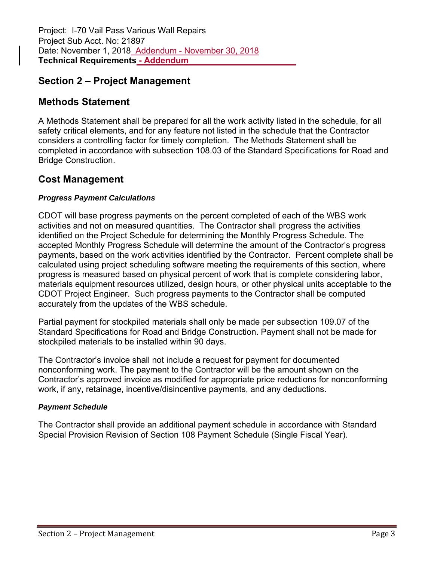# **Methods Statement**

A Methods Statement shall be prepared for all the work activity listed in the schedule, for all safety critical elements, and for any feature not listed in the schedule that the Contractor considers a controlling factor for timely completion. The Methods Statement shall be completed in accordance with subsection 108.03 of the Standard Specifications for Road and Bridge Construction.

### **Cost Management**

### *Progress Payment Calculations*

CDOT will base progress payments on the percent completed of each of the WBS work activities and not on measured quantities. The Contractor shall progress the activities identified on the Project Schedule for determining the Monthly Progress Schedule. The accepted Monthly Progress Schedule will determine the amount of the Contractor's progress payments, based on the work activities identified by the Contractor. Percent complete shall be calculated using project scheduling software meeting the requirements of this section, where progress is measured based on physical percent of work that is complete considering labor, materials equipment resources utilized, design hours, or other physical units acceptable to the CDOT Project Engineer. Such progress payments to the Contractor shall be computed accurately from the updates of the WBS schedule.

Partial payment for stockpiled materials shall only be made per subsection 109.07 of the Standard Specifications for Road and Bridge Construction. Payment shall not be made for stockpiled materials to be installed within 90 days.

The Contractor's invoice shall not include a request for payment for documented nonconforming work. The payment to the Contractor will be the amount shown on the Contractor's approved invoice as modified for appropriate price reductions for nonconforming work, if any, retainage, incentive/disincentive payments, and any deductions.

### *Payment Schedule*

The Contractor shall provide an additional payment schedule in accordance with Standard Special Provision Revision of Section 108 Payment Schedule (Single Fiscal Year).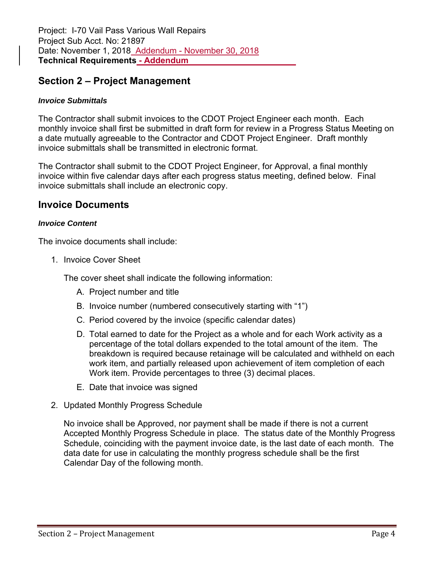#### *Invoice Submittals*

The Contractor shall submit invoices to the CDOT Project Engineer each month. Each monthly invoice shall first be submitted in draft form for review in a Progress Status Meeting on a date mutually agreeable to the Contractor and CDOT Project Engineer. Draft monthly invoice submittals shall be transmitted in electronic format.

The Contractor shall submit to the CDOT Project Engineer, for Approval, a final monthly invoice within five calendar days after each progress status meeting, defined below. Final invoice submittals shall include an electronic copy.

### **Invoice Documents**

#### *Invoice Content*

The invoice documents shall include:

1. Invoice Cover Sheet

The cover sheet shall indicate the following information:

- A. Project number and title
- B. Invoice number (numbered consecutively starting with "1")
- C. Period covered by the invoice (specific calendar dates)
- D. Total earned to date for the Project as a whole and for each Work activity as a percentage of the total dollars expended to the total amount of the item. The breakdown is required because retainage will be calculated and withheld on each work item, and partially released upon achievement of item completion of each Work item. Provide percentages to three (3) decimal places.
- E. Date that invoice was signed
- 2. Updated Monthly Progress Schedule

No invoice shall be Approved, nor payment shall be made if there is not a current Accepted Monthly Progress Schedule in place. The status date of the Monthly Progress Schedule, coinciding with the payment invoice date, is the last date of each month. The data date for use in calculating the monthly progress schedule shall be the first Calendar Day of the following month.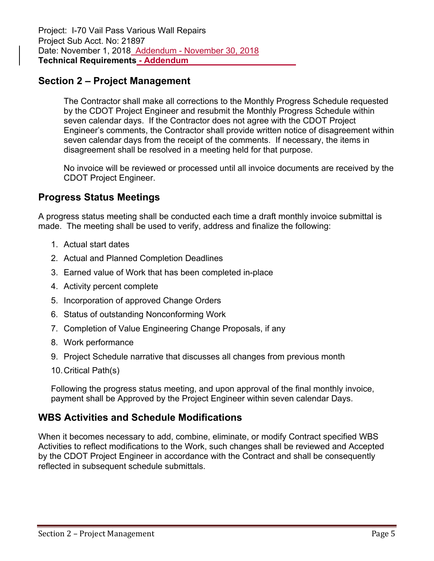The Contractor shall make all corrections to the Monthly Progress Schedule requested by the CDOT Project Engineer and resubmit the Monthly Progress Schedule within seven calendar days. If the Contractor does not agree with the CDOT Project Engineer's comments, the Contractor shall provide written notice of disagreement within seven calendar days from the receipt of the comments. If necessary, the items in disagreement shall be resolved in a meeting held for that purpose.

No invoice will be reviewed or processed until all invoice documents are received by the CDOT Project Engineer.

### **Progress Status Meetings**

A progress status meeting shall be conducted each time a draft monthly invoice submittal is made. The meeting shall be used to verify, address and finalize the following:

- 1. Actual start dates
- 2. Actual and Planned Completion Deadlines
- 3. Earned value of Work that has been completed in-place
- 4. Activity percent complete
- 5. Incorporation of approved Change Orders
- 6. Status of outstanding Nonconforming Work
- 7. Completion of Value Engineering Change Proposals, if any
- 8. Work performance
- 9. Project Schedule narrative that discusses all changes from previous month
- 10. Critical Path(s)

Following the progress status meeting, and upon approval of the final monthly invoice, payment shall be Approved by the Project Engineer within seven calendar Days.

### **WBS Activities and Schedule Modifications**

When it becomes necessary to add, combine, eliminate, or modify Contract specified WBS Activities to reflect modifications to the Work, such changes shall be reviewed and Accepted by the CDOT Project Engineer in accordance with the Contract and shall be consequently reflected in subsequent schedule submittals.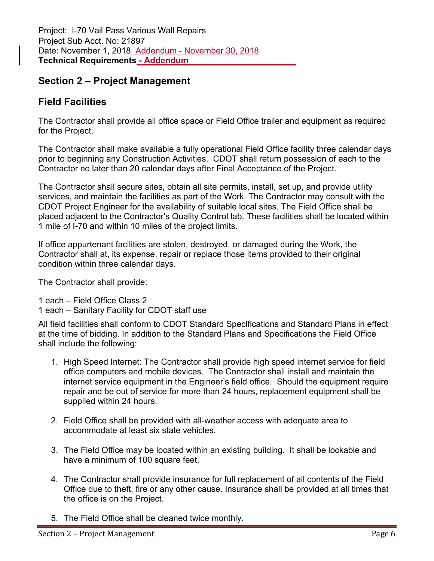### **Field Facilities**

The Contractor shall provide all office space or Field Office trailer and equipment as required for the Project.

The Contractor shall make available a fully operational Field Office facility three calendar days prior to beginning any Construction Activities. CDOT shall return possession of each to the Contractor no later than 20 calendar days after Final Acceptance of the Project.

The Contractor shall secure sites, obtain all site permits, install, set up, and provide utility services, and maintain the facilities as part of the Work. The Contractor may consult with the CDOT Project Engineer for the availability of suitable local sites. The Field Office shall be placed adjacent to the Contractor's Quality Control lab. These facilities shall be located within 1 mile of I-70 and within 10 miles of the project limits.

If office appurtenant facilities are stolen, destroyed, or damaged during the Work, the Contractor shall at, its expense, repair or replace those items provided to their original condition within three calendar days.

The Contractor shall provide:

1 each – Field Office Class 2

1 each – Sanitary Facility for CDOT staff use

All field facilities shall conform to CDOT Standard Specifications and Standard Plans in effect at the time of bidding. In addition to the Standard Plans and Specifications the Field Office shall include the following:

- 1. High Speed Internet: The Contractor shall provide high speed internet service for field office computers and mobile devices. The Contractor shall install and maintain the internet service equipment in the Engineer's field office. Should the equipment require repair and be out of service for more than 24 hours, replacement equipment shall be supplied within 24 hours.
- 2. Field Office shall be provided with all-weather access with adequate area to accommodate at least six state vehicles.
- 3. The Field Office may be located within an existing building. It shall be lockable and have a minimum of 100 square feet.
- 4. The Contractor shall provide insurance for full replacement of all contents of the Field Office due to theft, fire or any other cause. Insurance shall be provided at all times that the office is on the Project.
- 5. The Field Office shall be cleaned twice monthly.